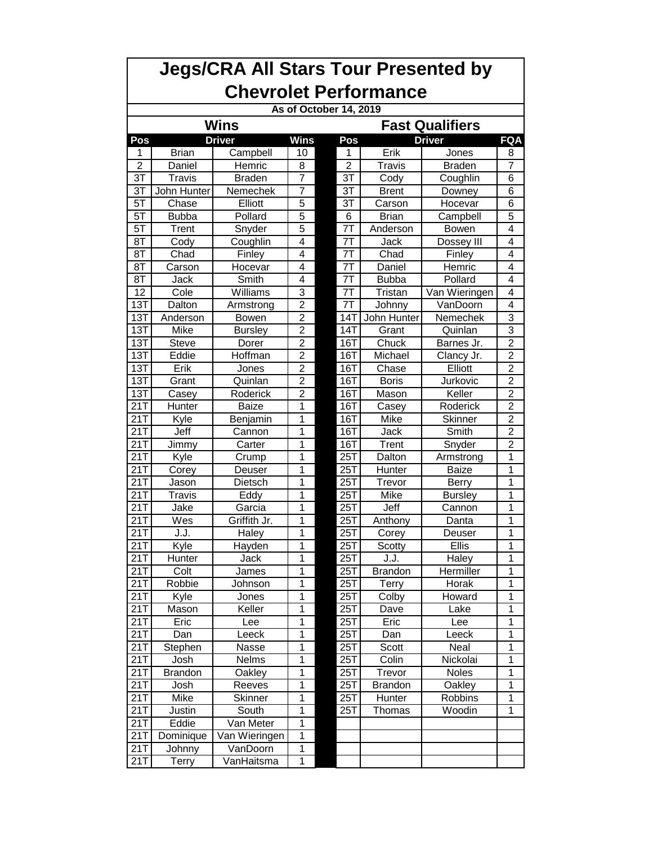| <b>Chevrolet Performance</b><br>As of October 14, 2019<br>Wins<br><b>Fast Qualifiers</b><br><b>Driver</b><br><b>FQA</b><br>Pos<br><b>Wins</b><br>Pos<br><b>Driver</b><br>Erik<br><b>Brian</b><br>Campbell<br>10<br>1<br>Jones<br>8<br>1<br>$\overline{2}$<br>$\overline{8}$<br>$\overline{7}$<br>$\overline{2}$<br>Travis<br><b>Braden</b><br>Daniel<br>Hemric<br>$\overline{7}$<br>$\overline{3T}$<br>3T<br><b>Travis</b><br><b>Braden</b><br>6<br>Cody<br>Coughlin<br>$\overline{7}$<br>3T<br>John Hunter<br>3T<br><b>Brent</b><br>6<br>Nemechek<br>Downey<br>$5\overline{1}$<br><b>Elliott</b><br>$\overline{5}$<br>$\overline{31}$<br>Chase<br>6<br>Carson<br>Hocevar<br>$\overline{5}$<br>5T<br>6<br>Pollard<br>5<br><b>Bubba</b><br>Brian<br>Campbell<br>$\overline{5}$<br>5T<br>7T<br>4<br>Trent<br>Snyder<br>Anderson<br>Bowen<br>7T<br>Coughlin<br>4<br>$\overline{4}$<br>8T<br>Cody<br>Jack<br>Dossey III<br>4<br>7T<br>8T<br>Chad<br>Finley<br>Chad<br>4<br>Finley<br>7T<br>8T<br>4<br>Hemric<br>4<br>Carson<br>Hocevar<br>Daniel<br>7T<br>8T<br>Smith<br>4<br>Pollard<br>4<br>Jack<br><b>Bubba</b><br>3<br>12<br>7T<br>4<br>Cole<br>Williams<br>Van Wieringen<br>Tristan<br>$\overline{2}$<br>13T<br>7T<br>4<br>Dalton<br>VanDoorn<br>Johnny<br>Armstrong<br>$\overline{2}$<br>$13\overline{T}$<br><b>14T</b><br>3<br>John Hunter<br>Nemechek<br>Anderson<br><b>Bowen</b><br>$\overline{2}$<br>3<br>13T<br>Mike<br><b>Bursley</b><br>14T<br>Grant<br>Quinlan<br>$\overline{2}$<br>$\overline{2}$<br>13T<br><b>Steve</b><br>16T<br>Chuck<br>Dorer<br>Barnes Jr.<br>$\overline{2}$<br>Hoffman<br>$\overline{2}$<br>13T<br>Eddie<br>16T<br>Michael<br>Clancy Jr.<br>$\overline{2}$<br>Erik<br>Elliott<br>$\overline{2}$<br>13T<br>16T<br>Chase<br>Jones<br>$\overline{2}$<br>$\overline{2}$<br>13T<br>$16\overline{T}$<br><b>Boris</b><br>Jurkovic<br>Grant<br>Quinlan<br>$\overline{2}$<br>Keller<br>$\overline{2}$<br>13T<br>Roderick<br>16T<br>Mason<br>Casey<br>$\overline{21}$<br>$\overline{2}$<br>1<br><b>16T</b><br>Roderick<br>Hunter<br>Baize<br>Casey<br>21T<br>1<br>$\overline{2}$<br>16T<br>Mike<br>Skinner<br>Kyle<br>Benjamin<br>21T<br>Jeff<br>1<br>16T<br>$\overline{2}$<br>Jack<br>Smith<br>Cannon<br>21T<br>1<br>16T<br>$\overline{2}$<br>Snyder<br>Jimmy<br>Carter<br>Trent<br>21T<br>1<br>25T<br>Dalton<br>1<br>Armstrong<br>Kyle<br>Crump<br>21T<br>1<br>1<br>25T<br>Hunter<br>Corey<br><b>Baize</b><br>Deuser<br>21T<br>1<br>25T<br>1<br>Trevor<br>Jason<br>Dietsch<br>Berry<br>21T<br>1<br>1<br>25T<br><b>Travis</b><br>Eddy<br>Mike<br><b>Bursley</b><br>21T<br>1<br>25T<br>Jeff<br>1<br>Jake<br>Garcia<br>Cannon<br>25T<br>21T<br>Wes<br>Griffith Jr.<br>1<br>Anthony<br>Danta<br>1<br>21T<br>1<br>1<br>25T<br>J.J.<br>Haley<br>Corey<br>Deuser<br>21T<br>1<br>25T<br>Ellis<br>1<br>Kyle<br>Hayden<br>Scotty<br>1<br>25T<br>1<br>21T<br>Hunter<br>Jack<br>J.J.<br>Haley<br>$\overline{1}$<br>25T<br>1<br>21T<br>Colt<br>James<br><b>Brandon</b><br>Hermiller<br>Robbie<br>1<br>21T<br>25T<br>Terry<br>Horak<br>1<br>Johnson<br>21T<br>1<br>25T<br>Colby<br>Howard<br>Kyle<br>1<br>Jones<br>Keller<br>1<br>25T<br>21T<br>Mason<br>Dave<br>Lake<br>1<br>1<br>Eric<br>25T<br>1<br>21T<br>Eric<br>Lee<br>Lee<br>1<br>21T<br>25T<br>1<br>Leeck<br>Leeck<br>Dan<br>Dan<br>1<br>Stephen<br>25T<br>Neal<br>1<br>21T<br>Nasse<br>Scott<br>21T<br>Josh<br>1<br>$25\overline{1}$<br>Colin<br>Nickolai<br>1<br>Nelms<br>21T<br>Brandon<br>1<br>25T<br>Noles<br>1<br>Oakley<br>Trevor<br>21T<br>Josh<br>Reeves<br>1<br>25T<br>Brandon<br>Oakley<br>1<br>21T<br>Mike<br>1<br>25T<br>Robbins<br>1<br>Skinner<br>Hunter<br>1<br>1<br>21T<br>Justin<br>25T<br>Thomas<br>Woodin<br>South<br>Eddie<br>Van Meter<br>1<br>21T<br>1<br>21T<br>Dominique<br>Van Wieringen<br>1<br>21T<br>VanDoorn<br>Johnny | <b>Jegs/CRA All Stars Tour Presented by</b> |       |            |   |  |  |  |  |  |  |  |  |  |  |
|-------------------------------------------------------------------------------------------------------------------------------------------------------------------------------------------------------------------------------------------------------------------------------------------------------------------------------------------------------------------------------------------------------------------------------------------------------------------------------------------------------------------------------------------------------------------------------------------------------------------------------------------------------------------------------------------------------------------------------------------------------------------------------------------------------------------------------------------------------------------------------------------------------------------------------------------------------------------------------------------------------------------------------------------------------------------------------------------------------------------------------------------------------------------------------------------------------------------------------------------------------------------------------------------------------------------------------------------------------------------------------------------------------------------------------------------------------------------------------------------------------------------------------------------------------------------------------------------------------------------------------------------------------------------------------------------------------------------------------------------------------------------------------------------------------------------------------------------------------------------------------------------------------------------------------------------------------------------------------------------------------------------------------------------------------------------------------------------------------------------------------------------------------------------------------------------------------------------------------------------------------------------------------------------------------------------------------------------------------------------------------------------------------------------------------------------------------------------------------------------------------------------------------------------------------------------------------------------------------------------------------------------------------------------------------------------------------------------------------------------------------------------------------------------------------------------------------------------------------------------------------------------------------------------------------------------------------------------------------------------------------------------------------------------------------------------------------------------------------------------------------------------------------------------------------------------------------------------------------------------------------------------------------------------------------------------------------------------------------------------------------------------------------------------------------------------------------------------------------------------------------------------------------------------------------------------------------------------------------------------------------------------------------------------------------------------------------------------------------------------------------------------------------------------------------------------------|---------------------------------------------|-------|------------|---|--|--|--|--|--|--|--|--|--|--|
|                                                                                                                                                                                                                                                                                                                                                                                                                                                                                                                                                                                                                                                                                                                                                                                                                                                                                                                                                                                                                                                                                                                                                                                                                                                                                                                                                                                                                                                                                                                                                                                                                                                                                                                                                                                                                                                                                                                                                                                                                                                                                                                                                                                                                                                                                                                                                                                                                                                                                                                                                                                                                                                                                                                                                                                                                                                                                                                                                                                                                                                                                                                                                                                                                                                                                                                                                                                                                                                                                                                                                                                                                                                                                                                                                                                                                         |                                             |       |            |   |  |  |  |  |  |  |  |  |  |  |
|                                                                                                                                                                                                                                                                                                                                                                                                                                                                                                                                                                                                                                                                                                                                                                                                                                                                                                                                                                                                                                                                                                                                                                                                                                                                                                                                                                                                                                                                                                                                                                                                                                                                                                                                                                                                                                                                                                                                                                                                                                                                                                                                                                                                                                                                                                                                                                                                                                                                                                                                                                                                                                                                                                                                                                                                                                                                                                                                                                                                                                                                                                                                                                                                                                                                                                                                                                                                                                                                                                                                                                                                                                                                                                                                                                                                                         |                                             |       |            |   |  |  |  |  |  |  |  |  |  |  |
|                                                                                                                                                                                                                                                                                                                                                                                                                                                                                                                                                                                                                                                                                                                                                                                                                                                                                                                                                                                                                                                                                                                                                                                                                                                                                                                                                                                                                                                                                                                                                                                                                                                                                                                                                                                                                                                                                                                                                                                                                                                                                                                                                                                                                                                                                                                                                                                                                                                                                                                                                                                                                                                                                                                                                                                                                                                                                                                                                                                                                                                                                                                                                                                                                                                                                                                                                                                                                                                                                                                                                                                                                                                                                                                                                                                                                         |                                             |       |            |   |  |  |  |  |  |  |  |  |  |  |
|                                                                                                                                                                                                                                                                                                                                                                                                                                                                                                                                                                                                                                                                                                                                                                                                                                                                                                                                                                                                                                                                                                                                                                                                                                                                                                                                                                                                                                                                                                                                                                                                                                                                                                                                                                                                                                                                                                                                                                                                                                                                                                                                                                                                                                                                                                                                                                                                                                                                                                                                                                                                                                                                                                                                                                                                                                                                                                                                                                                                                                                                                                                                                                                                                                                                                                                                                                                                                                                                                                                                                                                                                                                                                                                                                                                                                         |                                             |       |            |   |  |  |  |  |  |  |  |  |  |  |
|                                                                                                                                                                                                                                                                                                                                                                                                                                                                                                                                                                                                                                                                                                                                                                                                                                                                                                                                                                                                                                                                                                                                                                                                                                                                                                                                                                                                                                                                                                                                                                                                                                                                                                                                                                                                                                                                                                                                                                                                                                                                                                                                                                                                                                                                                                                                                                                                                                                                                                                                                                                                                                                                                                                                                                                                                                                                                                                                                                                                                                                                                                                                                                                                                                                                                                                                                                                                                                                                                                                                                                                                                                                                                                                                                                                                                         |                                             |       |            |   |  |  |  |  |  |  |  |  |  |  |
|                                                                                                                                                                                                                                                                                                                                                                                                                                                                                                                                                                                                                                                                                                                                                                                                                                                                                                                                                                                                                                                                                                                                                                                                                                                                                                                                                                                                                                                                                                                                                                                                                                                                                                                                                                                                                                                                                                                                                                                                                                                                                                                                                                                                                                                                                                                                                                                                                                                                                                                                                                                                                                                                                                                                                                                                                                                                                                                                                                                                                                                                                                                                                                                                                                                                                                                                                                                                                                                                                                                                                                                                                                                                                                                                                                                                                         |                                             |       |            |   |  |  |  |  |  |  |  |  |  |  |
|                                                                                                                                                                                                                                                                                                                                                                                                                                                                                                                                                                                                                                                                                                                                                                                                                                                                                                                                                                                                                                                                                                                                                                                                                                                                                                                                                                                                                                                                                                                                                                                                                                                                                                                                                                                                                                                                                                                                                                                                                                                                                                                                                                                                                                                                                                                                                                                                                                                                                                                                                                                                                                                                                                                                                                                                                                                                                                                                                                                                                                                                                                                                                                                                                                                                                                                                                                                                                                                                                                                                                                                                                                                                                                                                                                                                                         |                                             |       |            |   |  |  |  |  |  |  |  |  |  |  |
|                                                                                                                                                                                                                                                                                                                                                                                                                                                                                                                                                                                                                                                                                                                                                                                                                                                                                                                                                                                                                                                                                                                                                                                                                                                                                                                                                                                                                                                                                                                                                                                                                                                                                                                                                                                                                                                                                                                                                                                                                                                                                                                                                                                                                                                                                                                                                                                                                                                                                                                                                                                                                                                                                                                                                                                                                                                                                                                                                                                                                                                                                                                                                                                                                                                                                                                                                                                                                                                                                                                                                                                                                                                                                                                                                                                                                         |                                             |       |            |   |  |  |  |  |  |  |  |  |  |  |
|                                                                                                                                                                                                                                                                                                                                                                                                                                                                                                                                                                                                                                                                                                                                                                                                                                                                                                                                                                                                                                                                                                                                                                                                                                                                                                                                                                                                                                                                                                                                                                                                                                                                                                                                                                                                                                                                                                                                                                                                                                                                                                                                                                                                                                                                                                                                                                                                                                                                                                                                                                                                                                                                                                                                                                                                                                                                                                                                                                                                                                                                                                                                                                                                                                                                                                                                                                                                                                                                                                                                                                                                                                                                                                                                                                                                                         |                                             |       |            |   |  |  |  |  |  |  |  |  |  |  |
|                                                                                                                                                                                                                                                                                                                                                                                                                                                                                                                                                                                                                                                                                                                                                                                                                                                                                                                                                                                                                                                                                                                                                                                                                                                                                                                                                                                                                                                                                                                                                                                                                                                                                                                                                                                                                                                                                                                                                                                                                                                                                                                                                                                                                                                                                                                                                                                                                                                                                                                                                                                                                                                                                                                                                                                                                                                                                                                                                                                                                                                                                                                                                                                                                                                                                                                                                                                                                                                                                                                                                                                                                                                                                                                                                                                                                         |                                             |       |            |   |  |  |  |  |  |  |  |  |  |  |
|                                                                                                                                                                                                                                                                                                                                                                                                                                                                                                                                                                                                                                                                                                                                                                                                                                                                                                                                                                                                                                                                                                                                                                                                                                                                                                                                                                                                                                                                                                                                                                                                                                                                                                                                                                                                                                                                                                                                                                                                                                                                                                                                                                                                                                                                                                                                                                                                                                                                                                                                                                                                                                                                                                                                                                                                                                                                                                                                                                                                                                                                                                                                                                                                                                                                                                                                                                                                                                                                                                                                                                                                                                                                                                                                                                                                                         |                                             |       |            |   |  |  |  |  |  |  |  |  |  |  |
|                                                                                                                                                                                                                                                                                                                                                                                                                                                                                                                                                                                                                                                                                                                                                                                                                                                                                                                                                                                                                                                                                                                                                                                                                                                                                                                                                                                                                                                                                                                                                                                                                                                                                                                                                                                                                                                                                                                                                                                                                                                                                                                                                                                                                                                                                                                                                                                                                                                                                                                                                                                                                                                                                                                                                                                                                                                                                                                                                                                                                                                                                                                                                                                                                                                                                                                                                                                                                                                                                                                                                                                                                                                                                                                                                                                                                         |                                             |       |            |   |  |  |  |  |  |  |  |  |  |  |
|                                                                                                                                                                                                                                                                                                                                                                                                                                                                                                                                                                                                                                                                                                                                                                                                                                                                                                                                                                                                                                                                                                                                                                                                                                                                                                                                                                                                                                                                                                                                                                                                                                                                                                                                                                                                                                                                                                                                                                                                                                                                                                                                                                                                                                                                                                                                                                                                                                                                                                                                                                                                                                                                                                                                                                                                                                                                                                                                                                                                                                                                                                                                                                                                                                                                                                                                                                                                                                                                                                                                                                                                                                                                                                                                                                                                                         |                                             |       |            |   |  |  |  |  |  |  |  |  |  |  |
|                                                                                                                                                                                                                                                                                                                                                                                                                                                                                                                                                                                                                                                                                                                                                                                                                                                                                                                                                                                                                                                                                                                                                                                                                                                                                                                                                                                                                                                                                                                                                                                                                                                                                                                                                                                                                                                                                                                                                                                                                                                                                                                                                                                                                                                                                                                                                                                                                                                                                                                                                                                                                                                                                                                                                                                                                                                                                                                                                                                                                                                                                                                                                                                                                                                                                                                                                                                                                                                                                                                                                                                                                                                                                                                                                                                                                         |                                             |       |            |   |  |  |  |  |  |  |  |  |  |  |
|                                                                                                                                                                                                                                                                                                                                                                                                                                                                                                                                                                                                                                                                                                                                                                                                                                                                                                                                                                                                                                                                                                                                                                                                                                                                                                                                                                                                                                                                                                                                                                                                                                                                                                                                                                                                                                                                                                                                                                                                                                                                                                                                                                                                                                                                                                                                                                                                                                                                                                                                                                                                                                                                                                                                                                                                                                                                                                                                                                                                                                                                                                                                                                                                                                                                                                                                                                                                                                                                                                                                                                                                                                                                                                                                                                                                                         |                                             |       |            |   |  |  |  |  |  |  |  |  |  |  |
|                                                                                                                                                                                                                                                                                                                                                                                                                                                                                                                                                                                                                                                                                                                                                                                                                                                                                                                                                                                                                                                                                                                                                                                                                                                                                                                                                                                                                                                                                                                                                                                                                                                                                                                                                                                                                                                                                                                                                                                                                                                                                                                                                                                                                                                                                                                                                                                                                                                                                                                                                                                                                                                                                                                                                                                                                                                                                                                                                                                                                                                                                                                                                                                                                                                                                                                                                                                                                                                                                                                                                                                                                                                                                                                                                                                                                         |                                             |       |            |   |  |  |  |  |  |  |  |  |  |  |
|                                                                                                                                                                                                                                                                                                                                                                                                                                                                                                                                                                                                                                                                                                                                                                                                                                                                                                                                                                                                                                                                                                                                                                                                                                                                                                                                                                                                                                                                                                                                                                                                                                                                                                                                                                                                                                                                                                                                                                                                                                                                                                                                                                                                                                                                                                                                                                                                                                                                                                                                                                                                                                                                                                                                                                                                                                                                                                                                                                                                                                                                                                                                                                                                                                                                                                                                                                                                                                                                                                                                                                                                                                                                                                                                                                                                                         |                                             |       |            |   |  |  |  |  |  |  |  |  |  |  |
|                                                                                                                                                                                                                                                                                                                                                                                                                                                                                                                                                                                                                                                                                                                                                                                                                                                                                                                                                                                                                                                                                                                                                                                                                                                                                                                                                                                                                                                                                                                                                                                                                                                                                                                                                                                                                                                                                                                                                                                                                                                                                                                                                                                                                                                                                                                                                                                                                                                                                                                                                                                                                                                                                                                                                                                                                                                                                                                                                                                                                                                                                                                                                                                                                                                                                                                                                                                                                                                                                                                                                                                                                                                                                                                                                                                                                         |                                             |       |            |   |  |  |  |  |  |  |  |  |  |  |
|                                                                                                                                                                                                                                                                                                                                                                                                                                                                                                                                                                                                                                                                                                                                                                                                                                                                                                                                                                                                                                                                                                                                                                                                                                                                                                                                                                                                                                                                                                                                                                                                                                                                                                                                                                                                                                                                                                                                                                                                                                                                                                                                                                                                                                                                                                                                                                                                                                                                                                                                                                                                                                                                                                                                                                                                                                                                                                                                                                                                                                                                                                                                                                                                                                                                                                                                                                                                                                                                                                                                                                                                                                                                                                                                                                                                                         |                                             |       |            |   |  |  |  |  |  |  |  |  |  |  |
|                                                                                                                                                                                                                                                                                                                                                                                                                                                                                                                                                                                                                                                                                                                                                                                                                                                                                                                                                                                                                                                                                                                                                                                                                                                                                                                                                                                                                                                                                                                                                                                                                                                                                                                                                                                                                                                                                                                                                                                                                                                                                                                                                                                                                                                                                                                                                                                                                                                                                                                                                                                                                                                                                                                                                                                                                                                                                                                                                                                                                                                                                                                                                                                                                                                                                                                                                                                                                                                                                                                                                                                                                                                                                                                                                                                                                         |                                             |       |            |   |  |  |  |  |  |  |  |  |  |  |
|                                                                                                                                                                                                                                                                                                                                                                                                                                                                                                                                                                                                                                                                                                                                                                                                                                                                                                                                                                                                                                                                                                                                                                                                                                                                                                                                                                                                                                                                                                                                                                                                                                                                                                                                                                                                                                                                                                                                                                                                                                                                                                                                                                                                                                                                                                                                                                                                                                                                                                                                                                                                                                                                                                                                                                                                                                                                                                                                                                                                                                                                                                                                                                                                                                                                                                                                                                                                                                                                                                                                                                                                                                                                                                                                                                                                                         |                                             |       |            |   |  |  |  |  |  |  |  |  |  |  |
|                                                                                                                                                                                                                                                                                                                                                                                                                                                                                                                                                                                                                                                                                                                                                                                                                                                                                                                                                                                                                                                                                                                                                                                                                                                                                                                                                                                                                                                                                                                                                                                                                                                                                                                                                                                                                                                                                                                                                                                                                                                                                                                                                                                                                                                                                                                                                                                                                                                                                                                                                                                                                                                                                                                                                                                                                                                                                                                                                                                                                                                                                                                                                                                                                                                                                                                                                                                                                                                                                                                                                                                                                                                                                                                                                                                                                         |                                             |       |            |   |  |  |  |  |  |  |  |  |  |  |
|                                                                                                                                                                                                                                                                                                                                                                                                                                                                                                                                                                                                                                                                                                                                                                                                                                                                                                                                                                                                                                                                                                                                                                                                                                                                                                                                                                                                                                                                                                                                                                                                                                                                                                                                                                                                                                                                                                                                                                                                                                                                                                                                                                                                                                                                                                                                                                                                                                                                                                                                                                                                                                                                                                                                                                                                                                                                                                                                                                                                                                                                                                                                                                                                                                                                                                                                                                                                                                                                                                                                                                                                                                                                                                                                                                                                                         |                                             |       |            |   |  |  |  |  |  |  |  |  |  |  |
|                                                                                                                                                                                                                                                                                                                                                                                                                                                                                                                                                                                                                                                                                                                                                                                                                                                                                                                                                                                                                                                                                                                                                                                                                                                                                                                                                                                                                                                                                                                                                                                                                                                                                                                                                                                                                                                                                                                                                                                                                                                                                                                                                                                                                                                                                                                                                                                                                                                                                                                                                                                                                                                                                                                                                                                                                                                                                                                                                                                                                                                                                                                                                                                                                                                                                                                                                                                                                                                                                                                                                                                                                                                                                                                                                                                                                         |                                             |       |            |   |  |  |  |  |  |  |  |  |  |  |
|                                                                                                                                                                                                                                                                                                                                                                                                                                                                                                                                                                                                                                                                                                                                                                                                                                                                                                                                                                                                                                                                                                                                                                                                                                                                                                                                                                                                                                                                                                                                                                                                                                                                                                                                                                                                                                                                                                                                                                                                                                                                                                                                                                                                                                                                                                                                                                                                                                                                                                                                                                                                                                                                                                                                                                                                                                                                                                                                                                                                                                                                                                                                                                                                                                                                                                                                                                                                                                                                                                                                                                                                                                                                                                                                                                                                                         |                                             |       |            |   |  |  |  |  |  |  |  |  |  |  |
|                                                                                                                                                                                                                                                                                                                                                                                                                                                                                                                                                                                                                                                                                                                                                                                                                                                                                                                                                                                                                                                                                                                                                                                                                                                                                                                                                                                                                                                                                                                                                                                                                                                                                                                                                                                                                                                                                                                                                                                                                                                                                                                                                                                                                                                                                                                                                                                                                                                                                                                                                                                                                                                                                                                                                                                                                                                                                                                                                                                                                                                                                                                                                                                                                                                                                                                                                                                                                                                                                                                                                                                                                                                                                                                                                                                                                         |                                             |       |            |   |  |  |  |  |  |  |  |  |  |  |
|                                                                                                                                                                                                                                                                                                                                                                                                                                                                                                                                                                                                                                                                                                                                                                                                                                                                                                                                                                                                                                                                                                                                                                                                                                                                                                                                                                                                                                                                                                                                                                                                                                                                                                                                                                                                                                                                                                                                                                                                                                                                                                                                                                                                                                                                                                                                                                                                                                                                                                                                                                                                                                                                                                                                                                                                                                                                                                                                                                                                                                                                                                                                                                                                                                                                                                                                                                                                                                                                                                                                                                                                                                                                                                                                                                                                                         |                                             |       |            |   |  |  |  |  |  |  |  |  |  |  |
|                                                                                                                                                                                                                                                                                                                                                                                                                                                                                                                                                                                                                                                                                                                                                                                                                                                                                                                                                                                                                                                                                                                                                                                                                                                                                                                                                                                                                                                                                                                                                                                                                                                                                                                                                                                                                                                                                                                                                                                                                                                                                                                                                                                                                                                                                                                                                                                                                                                                                                                                                                                                                                                                                                                                                                                                                                                                                                                                                                                                                                                                                                                                                                                                                                                                                                                                                                                                                                                                                                                                                                                                                                                                                                                                                                                                                         |                                             |       |            |   |  |  |  |  |  |  |  |  |  |  |
|                                                                                                                                                                                                                                                                                                                                                                                                                                                                                                                                                                                                                                                                                                                                                                                                                                                                                                                                                                                                                                                                                                                                                                                                                                                                                                                                                                                                                                                                                                                                                                                                                                                                                                                                                                                                                                                                                                                                                                                                                                                                                                                                                                                                                                                                                                                                                                                                                                                                                                                                                                                                                                                                                                                                                                                                                                                                                                                                                                                                                                                                                                                                                                                                                                                                                                                                                                                                                                                                                                                                                                                                                                                                                                                                                                                                                         |                                             |       |            |   |  |  |  |  |  |  |  |  |  |  |
|                                                                                                                                                                                                                                                                                                                                                                                                                                                                                                                                                                                                                                                                                                                                                                                                                                                                                                                                                                                                                                                                                                                                                                                                                                                                                                                                                                                                                                                                                                                                                                                                                                                                                                                                                                                                                                                                                                                                                                                                                                                                                                                                                                                                                                                                                                                                                                                                                                                                                                                                                                                                                                                                                                                                                                                                                                                                                                                                                                                                                                                                                                                                                                                                                                                                                                                                                                                                                                                                                                                                                                                                                                                                                                                                                                                                                         |                                             |       |            |   |  |  |  |  |  |  |  |  |  |  |
|                                                                                                                                                                                                                                                                                                                                                                                                                                                                                                                                                                                                                                                                                                                                                                                                                                                                                                                                                                                                                                                                                                                                                                                                                                                                                                                                                                                                                                                                                                                                                                                                                                                                                                                                                                                                                                                                                                                                                                                                                                                                                                                                                                                                                                                                                                                                                                                                                                                                                                                                                                                                                                                                                                                                                                                                                                                                                                                                                                                                                                                                                                                                                                                                                                                                                                                                                                                                                                                                                                                                                                                                                                                                                                                                                                                                                         |                                             |       |            |   |  |  |  |  |  |  |  |  |  |  |
|                                                                                                                                                                                                                                                                                                                                                                                                                                                                                                                                                                                                                                                                                                                                                                                                                                                                                                                                                                                                                                                                                                                                                                                                                                                                                                                                                                                                                                                                                                                                                                                                                                                                                                                                                                                                                                                                                                                                                                                                                                                                                                                                                                                                                                                                                                                                                                                                                                                                                                                                                                                                                                                                                                                                                                                                                                                                                                                                                                                                                                                                                                                                                                                                                                                                                                                                                                                                                                                                                                                                                                                                                                                                                                                                                                                                                         |                                             |       |            |   |  |  |  |  |  |  |  |  |  |  |
|                                                                                                                                                                                                                                                                                                                                                                                                                                                                                                                                                                                                                                                                                                                                                                                                                                                                                                                                                                                                                                                                                                                                                                                                                                                                                                                                                                                                                                                                                                                                                                                                                                                                                                                                                                                                                                                                                                                                                                                                                                                                                                                                                                                                                                                                                                                                                                                                                                                                                                                                                                                                                                                                                                                                                                                                                                                                                                                                                                                                                                                                                                                                                                                                                                                                                                                                                                                                                                                                                                                                                                                                                                                                                                                                                                                                                         |                                             |       |            |   |  |  |  |  |  |  |  |  |  |  |
|                                                                                                                                                                                                                                                                                                                                                                                                                                                                                                                                                                                                                                                                                                                                                                                                                                                                                                                                                                                                                                                                                                                                                                                                                                                                                                                                                                                                                                                                                                                                                                                                                                                                                                                                                                                                                                                                                                                                                                                                                                                                                                                                                                                                                                                                                                                                                                                                                                                                                                                                                                                                                                                                                                                                                                                                                                                                                                                                                                                                                                                                                                                                                                                                                                                                                                                                                                                                                                                                                                                                                                                                                                                                                                                                                                                                                         |                                             |       |            |   |  |  |  |  |  |  |  |  |  |  |
|                                                                                                                                                                                                                                                                                                                                                                                                                                                                                                                                                                                                                                                                                                                                                                                                                                                                                                                                                                                                                                                                                                                                                                                                                                                                                                                                                                                                                                                                                                                                                                                                                                                                                                                                                                                                                                                                                                                                                                                                                                                                                                                                                                                                                                                                                                                                                                                                                                                                                                                                                                                                                                                                                                                                                                                                                                                                                                                                                                                                                                                                                                                                                                                                                                                                                                                                                                                                                                                                                                                                                                                                                                                                                                                                                                                                                         |                                             |       |            |   |  |  |  |  |  |  |  |  |  |  |
|                                                                                                                                                                                                                                                                                                                                                                                                                                                                                                                                                                                                                                                                                                                                                                                                                                                                                                                                                                                                                                                                                                                                                                                                                                                                                                                                                                                                                                                                                                                                                                                                                                                                                                                                                                                                                                                                                                                                                                                                                                                                                                                                                                                                                                                                                                                                                                                                                                                                                                                                                                                                                                                                                                                                                                                                                                                                                                                                                                                                                                                                                                                                                                                                                                                                                                                                                                                                                                                                                                                                                                                                                                                                                                                                                                                                                         |                                             |       |            |   |  |  |  |  |  |  |  |  |  |  |
|                                                                                                                                                                                                                                                                                                                                                                                                                                                                                                                                                                                                                                                                                                                                                                                                                                                                                                                                                                                                                                                                                                                                                                                                                                                                                                                                                                                                                                                                                                                                                                                                                                                                                                                                                                                                                                                                                                                                                                                                                                                                                                                                                                                                                                                                                                                                                                                                                                                                                                                                                                                                                                                                                                                                                                                                                                                                                                                                                                                                                                                                                                                                                                                                                                                                                                                                                                                                                                                                                                                                                                                                                                                                                                                                                                                                                         |                                             |       |            |   |  |  |  |  |  |  |  |  |  |  |
|                                                                                                                                                                                                                                                                                                                                                                                                                                                                                                                                                                                                                                                                                                                                                                                                                                                                                                                                                                                                                                                                                                                                                                                                                                                                                                                                                                                                                                                                                                                                                                                                                                                                                                                                                                                                                                                                                                                                                                                                                                                                                                                                                                                                                                                                                                                                                                                                                                                                                                                                                                                                                                                                                                                                                                                                                                                                                                                                                                                                                                                                                                                                                                                                                                                                                                                                                                                                                                                                                                                                                                                                                                                                                                                                                                                                                         |                                             |       |            |   |  |  |  |  |  |  |  |  |  |  |
|                                                                                                                                                                                                                                                                                                                                                                                                                                                                                                                                                                                                                                                                                                                                                                                                                                                                                                                                                                                                                                                                                                                                                                                                                                                                                                                                                                                                                                                                                                                                                                                                                                                                                                                                                                                                                                                                                                                                                                                                                                                                                                                                                                                                                                                                                                                                                                                                                                                                                                                                                                                                                                                                                                                                                                                                                                                                                                                                                                                                                                                                                                                                                                                                                                                                                                                                                                                                                                                                                                                                                                                                                                                                                                                                                                                                                         |                                             |       |            |   |  |  |  |  |  |  |  |  |  |  |
|                                                                                                                                                                                                                                                                                                                                                                                                                                                                                                                                                                                                                                                                                                                                                                                                                                                                                                                                                                                                                                                                                                                                                                                                                                                                                                                                                                                                                                                                                                                                                                                                                                                                                                                                                                                                                                                                                                                                                                                                                                                                                                                                                                                                                                                                                                                                                                                                                                                                                                                                                                                                                                                                                                                                                                                                                                                                                                                                                                                                                                                                                                                                                                                                                                                                                                                                                                                                                                                                                                                                                                                                                                                                                                                                                                                                                         |                                             |       |            |   |  |  |  |  |  |  |  |  |  |  |
|                                                                                                                                                                                                                                                                                                                                                                                                                                                                                                                                                                                                                                                                                                                                                                                                                                                                                                                                                                                                                                                                                                                                                                                                                                                                                                                                                                                                                                                                                                                                                                                                                                                                                                                                                                                                                                                                                                                                                                                                                                                                                                                                                                                                                                                                                                                                                                                                                                                                                                                                                                                                                                                                                                                                                                                                                                                                                                                                                                                                                                                                                                                                                                                                                                                                                                                                                                                                                                                                                                                                                                                                                                                                                                                                                                                                                         |                                             |       |            |   |  |  |  |  |  |  |  |  |  |  |
|                                                                                                                                                                                                                                                                                                                                                                                                                                                                                                                                                                                                                                                                                                                                                                                                                                                                                                                                                                                                                                                                                                                                                                                                                                                                                                                                                                                                                                                                                                                                                                                                                                                                                                                                                                                                                                                                                                                                                                                                                                                                                                                                                                                                                                                                                                                                                                                                                                                                                                                                                                                                                                                                                                                                                                                                                                                                                                                                                                                                                                                                                                                                                                                                                                                                                                                                                                                                                                                                                                                                                                                                                                                                                                                                                                                                                         |                                             |       |            |   |  |  |  |  |  |  |  |  |  |  |
|                                                                                                                                                                                                                                                                                                                                                                                                                                                                                                                                                                                                                                                                                                                                                                                                                                                                                                                                                                                                                                                                                                                                                                                                                                                                                                                                                                                                                                                                                                                                                                                                                                                                                                                                                                                                                                                                                                                                                                                                                                                                                                                                                                                                                                                                                                                                                                                                                                                                                                                                                                                                                                                                                                                                                                                                                                                                                                                                                                                                                                                                                                                                                                                                                                                                                                                                                                                                                                                                                                                                                                                                                                                                                                                                                                                                                         |                                             |       |            |   |  |  |  |  |  |  |  |  |  |  |
|                                                                                                                                                                                                                                                                                                                                                                                                                                                                                                                                                                                                                                                                                                                                                                                                                                                                                                                                                                                                                                                                                                                                                                                                                                                                                                                                                                                                                                                                                                                                                                                                                                                                                                                                                                                                                                                                                                                                                                                                                                                                                                                                                                                                                                                                                                                                                                                                                                                                                                                                                                                                                                                                                                                                                                                                                                                                                                                                                                                                                                                                                                                                                                                                                                                                                                                                                                                                                                                                                                                                                                                                                                                                                                                                                                                                                         |                                             |       |            |   |  |  |  |  |  |  |  |  |  |  |
|                                                                                                                                                                                                                                                                                                                                                                                                                                                                                                                                                                                                                                                                                                                                                                                                                                                                                                                                                                                                                                                                                                                                                                                                                                                                                                                                                                                                                                                                                                                                                                                                                                                                                                                                                                                                                                                                                                                                                                                                                                                                                                                                                                                                                                                                                                                                                                                                                                                                                                                                                                                                                                                                                                                                                                                                                                                                                                                                                                                                                                                                                                                                                                                                                                                                                                                                                                                                                                                                                                                                                                                                                                                                                                                                                                                                                         |                                             |       |            |   |  |  |  |  |  |  |  |  |  |  |
|                                                                                                                                                                                                                                                                                                                                                                                                                                                                                                                                                                                                                                                                                                                                                                                                                                                                                                                                                                                                                                                                                                                                                                                                                                                                                                                                                                                                                                                                                                                                                                                                                                                                                                                                                                                                                                                                                                                                                                                                                                                                                                                                                                                                                                                                                                                                                                                                                                                                                                                                                                                                                                                                                                                                                                                                                                                                                                                                                                                                                                                                                                                                                                                                                                                                                                                                                                                                                                                                                                                                                                                                                                                                                                                                                                                                                         |                                             |       |            |   |  |  |  |  |  |  |  |  |  |  |
|                                                                                                                                                                                                                                                                                                                                                                                                                                                                                                                                                                                                                                                                                                                                                                                                                                                                                                                                                                                                                                                                                                                                                                                                                                                                                                                                                                                                                                                                                                                                                                                                                                                                                                                                                                                                                                                                                                                                                                                                                                                                                                                                                                                                                                                                                                                                                                                                                                                                                                                                                                                                                                                                                                                                                                                                                                                                                                                                                                                                                                                                                                                                                                                                                                                                                                                                                                                                                                                                                                                                                                                                                                                                                                                                                                                                                         |                                             |       |            |   |  |  |  |  |  |  |  |  |  |  |
|                                                                                                                                                                                                                                                                                                                                                                                                                                                                                                                                                                                                                                                                                                                                                                                                                                                                                                                                                                                                                                                                                                                                                                                                                                                                                                                                                                                                                                                                                                                                                                                                                                                                                                                                                                                                                                                                                                                                                                                                                                                                                                                                                                                                                                                                                                                                                                                                                                                                                                                                                                                                                                                                                                                                                                                                                                                                                                                                                                                                                                                                                                                                                                                                                                                                                                                                                                                                                                                                                                                                                                                                                                                                                                                                                                                                                         |                                             |       |            |   |  |  |  |  |  |  |  |  |  |  |
|                                                                                                                                                                                                                                                                                                                                                                                                                                                                                                                                                                                                                                                                                                                                                                                                                                                                                                                                                                                                                                                                                                                                                                                                                                                                                                                                                                                                                                                                                                                                                                                                                                                                                                                                                                                                                                                                                                                                                                                                                                                                                                                                                                                                                                                                                                                                                                                                                                                                                                                                                                                                                                                                                                                                                                                                                                                                                                                                                                                                                                                                                                                                                                                                                                                                                                                                                                                                                                                                                                                                                                                                                                                                                                                                                                                                                         |                                             |       |            |   |  |  |  |  |  |  |  |  |  |  |
|                                                                                                                                                                                                                                                                                                                                                                                                                                                                                                                                                                                                                                                                                                                                                                                                                                                                                                                                                                                                                                                                                                                                                                                                                                                                                                                                                                                                                                                                                                                                                                                                                                                                                                                                                                                                                                                                                                                                                                                                                                                                                                                                                                                                                                                                                                                                                                                                                                                                                                                                                                                                                                                                                                                                                                                                                                                                                                                                                                                                                                                                                                                                                                                                                                                                                                                                                                                                                                                                                                                                                                                                                                                                                                                                                                                                                         |                                             |       |            |   |  |  |  |  |  |  |  |  |  |  |
|                                                                                                                                                                                                                                                                                                                                                                                                                                                                                                                                                                                                                                                                                                                                                                                                                                                                                                                                                                                                                                                                                                                                                                                                                                                                                                                                                                                                                                                                                                                                                                                                                                                                                                                                                                                                                                                                                                                                                                                                                                                                                                                                                                                                                                                                                                                                                                                                                                                                                                                                                                                                                                                                                                                                                                                                                                                                                                                                                                                                                                                                                                                                                                                                                                                                                                                                                                                                                                                                                                                                                                                                                                                                                                                                                                                                                         |                                             |       |            |   |  |  |  |  |  |  |  |  |  |  |
|                                                                                                                                                                                                                                                                                                                                                                                                                                                                                                                                                                                                                                                                                                                                                                                                                                                                                                                                                                                                                                                                                                                                                                                                                                                                                                                                                                                                                                                                                                                                                                                                                                                                                                                                                                                                                                                                                                                                                                                                                                                                                                                                                                                                                                                                                                                                                                                                                                                                                                                                                                                                                                                                                                                                                                                                                                                                                                                                                                                                                                                                                                                                                                                                                                                                                                                                                                                                                                                                                                                                                                                                                                                                                                                                                                                                                         |                                             |       |            |   |  |  |  |  |  |  |  |  |  |  |
|                                                                                                                                                                                                                                                                                                                                                                                                                                                                                                                                                                                                                                                                                                                                                                                                                                                                                                                                                                                                                                                                                                                                                                                                                                                                                                                                                                                                                                                                                                                                                                                                                                                                                                                                                                                                                                                                                                                                                                                                                                                                                                                                                                                                                                                                                                                                                                                                                                                                                                                                                                                                                                                                                                                                                                                                                                                                                                                                                                                                                                                                                                                                                                                                                                                                                                                                                                                                                                                                                                                                                                                                                                                                                                                                                                                                                         | 21T                                         | Terry | VanHaitsma | 1 |  |  |  |  |  |  |  |  |  |  |